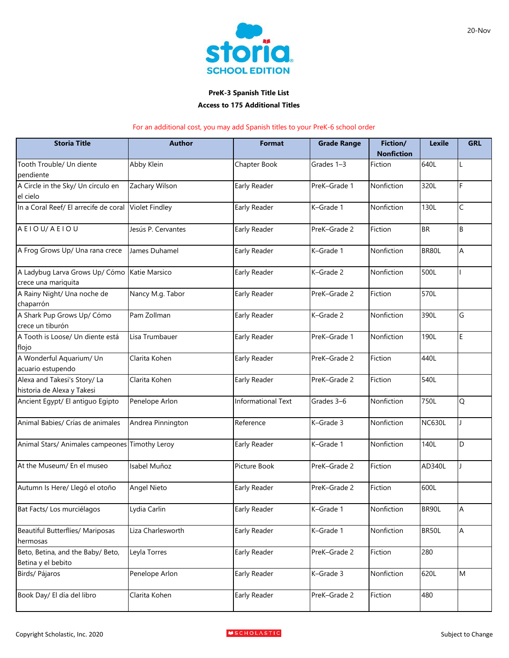

## **PreK-3 Spanish Title List Access to 175 Additional Titles**

## For an additional cost, you may add Spanish titles to your PreK-6 school order

| <b>Storia Title</b>                                        | <b>Author</b>         | <b>Format</b>             | <b>Grade Range</b> | Fiction/<br><b>Nonfiction</b> | <b>Lexile</b> | <b>GRL</b> |
|------------------------------------------------------------|-----------------------|---------------------------|--------------------|-------------------------------|---------------|------------|
| Tooth Trouble/ Un diente<br>pendiente                      | Abby Klein            | Chapter Book              | Grades 1-3         | Fiction                       | 640L          |            |
| A Circle in the Sky/ Un círculo en<br>el cielo             | Zachary Wilson        | Early Reader              | PreK-Grade 1       | Nonfiction                    | 320L          | F          |
| In a Coral Reef/ El arrecife de coral                      | <b>Violet Findley</b> | Early Reader              | K-Grade 1          | Nonfiction                    | 130L          | C          |
| AEIOU/AEIOU                                                | Jesús P. Cervantes    | Early Reader              | PreK-Grade 2       | Fiction                       | <b>BR</b>     | B          |
| A Frog Grows Up/ Una rana crece                            | James Duhamel         | Early Reader              | K-Grade 1          | Nonfiction                    | BR80L         | A          |
| A Ladybug Larva Grows Up/ Cómo<br>crece una mariquita      | Katie Marsico         | Early Reader              | K-Grade 2          | Nonfiction                    | 500L          |            |
| A Rainy Night/ Una noche de<br>chaparrón                   | Nancy M.g. Tabor      | Early Reader              | PreK-Grade 2       | Fiction                       | 570L          |            |
| A Shark Pup Grows Up/ Cómo<br>crece un tiburón             | Pam Zollman           | Early Reader              | K-Grade 2          | Nonfiction                    | 390L          | G          |
| A Tooth is Loose/ Un diente está<br>flojo                  | Lisa Trumbauer        | Early Reader              | PreK-Grade 1       | Nonfiction                    | 190L          | E          |
| A Wonderful Aquarium/ Un<br>acuario estupendo              | Clarita Kohen         | Early Reader              | PreK-Grade 2       | Fiction                       | 440L          |            |
| Alexa and Takesi's Story/ La<br>historia de Alexa y Takesi | Clarita Kohen         | Early Reader              | PreK-Grade 2       | Fiction                       | 540L          |            |
| Ancient Egypt/ El antiguo Egipto                           | Penelope Arlon        | <b>Informational Text</b> | Grades 3-6         | Nonfiction                    | 750L          | Q          |
| Animal Babies/ Crías de animales                           | Andrea Pinnington     | Reference                 | K-Grade 3          | Nonfiction                    | <b>NC630L</b> |            |
| Animal Stars/ Animales campeones Timothy Leroy             |                       | Early Reader              | K-Grade 1          | Nonfiction                    | 140L          | D          |
| At the Museum/ En el museo                                 | Isabel Muñoz          | Picture Book              | PreK-Grade 2       | Fiction                       | AD340L        |            |
| Autumn Is Here/ Llegó el otoño                             | <b>Angel Nieto</b>    | Early Reader              | PreK-Grade 2       | Fiction                       | 600L          |            |
| Bat Facts/ Los murciélagos                                 | Lydia Carlin          | Early Reader              | K-Grade 1          | Nonfiction                    | BR90L         | A          |
| Beautiful Butterflies/ Mariposas<br>hermosas               | Liza Charlesworth     | Early Reader              | K-Grade 1          | Nonfiction                    | BR50L         | Α          |
| Beto, Betina, and the Baby/ Beto,<br>Betina y el bebito    | Leyla Torres          | Early Reader              | PreK-Grade 2       | Fiction                       | 280           |            |
| Birds/ Pájaros                                             | Penelope Arlon        | Early Reader              | K-Grade 3          | Nonfiction                    | 620L          | M          |
| Book Day/ El día del libro                                 | Clarita Kohen         | Early Reader              | PreK-Grade 2       | Fiction                       | 480           |            |

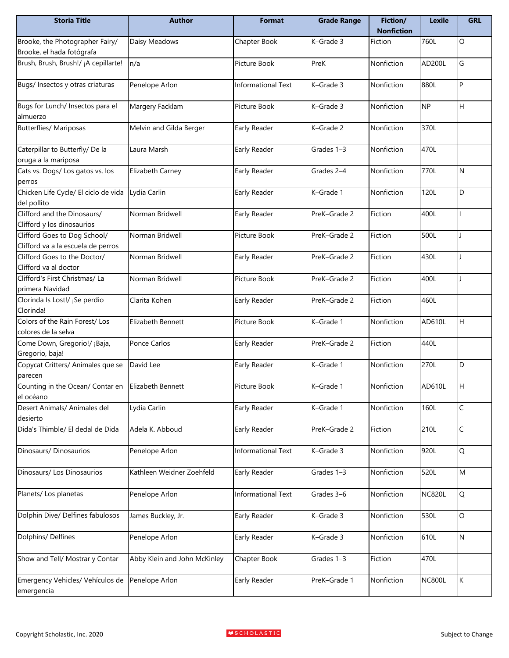| <b>Storia Title</b>                                          | <b>Author</b>                | <b>Format</b>      | <b>Grade Range</b> | Fiction/<br><b>Nonfiction</b> | <b>Lexile</b> | <b>GRL</b> |
|--------------------------------------------------------------|------------------------------|--------------------|--------------------|-------------------------------|---------------|------------|
| Brooke, the Photographer Fairy/<br>Brooke, el hada fotógrafa | Daisy Meadows                | Chapter Book       | K-Grade 3          | Fiction                       | 760L          | O          |
| Brush, Brush, Brush!/ ¡A cepillarte!                         | n/a                          | Picture Book       | PreK               | Nonfiction                    | AD200L        | G          |
| Bugs/ Insectos y otras criaturas                             | Penelope Arlon               | Informational Text | K-Grade 3          | Nonfiction                    | 880L          | P          |
| Bugs for Lunch/ Insectos para el<br>almuerzo                 | Margery Facklam              | Picture Book       | K-Grade 3          | Nonfiction                    | <b>NP</b>     | H          |
|                                                              |                              |                    |                    |                               |               |            |
| <b>Butterflies/ Mariposas</b>                                | Melvin and Gilda Berger      | Early Reader       | K-Grade 2          | Nonfiction                    | 370L          |            |
| Caterpillar to Butterfly/ De la                              | Laura Marsh                  | Early Reader       | Grades 1-3         | Nonfiction                    | 470L          |            |
| oruga a la mariposa                                          |                              |                    |                    |                               |               |            |
| Cats vs. Dogs/ Los gatos vs. los                             | Elizabeth Carney             | Early Reader       | Grades 2-4         | Nonfiction                    | 770L          | N          |
| perros                                                       |                              |                    |                    |                               |               |            |
| Chicken Life Cycle/ El ciclo de vida                         | Lydia Carlin                 | Early Reader       | K-Grade 1          | Nonfiction                    | 120L          | D          |
| del pollito                                                  |                              |                    |                    |                               |               |            |
| Clifford and the Dinosaurs/                                  | Norman Bridwell              | Early Reader       | PreK-Grade 2       | Fiction                       | 400L          |            |
| Clifford y los dinosaurios                                   |                              |                    |                    |                               |               |            |
| Clifford Goes to Dog School/                                 | Norman Bridwell              | Picture Book       | PreK-Grade 2       | Fiction                       | 500L          |            |
| Clifford va a la escuela de perros                           |                              |                    |                    |                               |               |            |
| Clifford Goes to the Doctor/                                 | Norman Bridwell              | Early Reader       | PreK-Grade 2       | Fiction                       | 430L          |            |
| Clifford va al doctor                                        |                              |                    |                    |                               |               |            |
| Clifford's First Christmas/ La                               | Norman Bridwell              | Picture Book       | PreK-Grade 2       | Fiction                       | 400L          |            |
| primera Navidad                                              |                              |                    |                    |                               |               |            |
| Clorinda Is Lost!/ ¡Se perdio                                | Clarita Kohen                | Early Reader       | PreK-Grade 2       | Fiction                       | 460L          |            |
| Clorinda!                                                    |                              |                    |                    |                               |               |            |
| Colors of the Rain Forest/ Los                               | Elizabeth Bennett            | Picture Book       | K-Grade 1          | Nonfiction                    | AD610L        | H          |
| colores de la selva                                          |                              |                    |                    |                               |               |            |
| Come Down, Gregorio!/ ¡Baja,                                 | Ponce Carlos                 | Early Reader       | PreK-Grade 2       | Fiction                       | 440L          |            |
| Gregorio, baja!                                              |                              |                    |                    |                               |               |            |
| Copycat Critters/ Animales que se                            | David Lee                    | Early Reader       | K-Grade 1          | Nonfiction                    | 270L          | D          |
| parecen                                                      |                              |                    |                    |                               |               |            |
| Counting in the Ocean/ Contar en Elizabeth Bennett           |                              | Picture Book       | K-Grade 1          | Nonfiction                    | AD610L        | IH.        |
| el océano                                                    |                              |                    |                    |                               |               |            |
| Desert Animals/ Animales del                                 | Lydia Carlin                 | Early Reader       | K-Grade 1          | Nonfiction                    | 160L          | C          |
| desierto                                                     |                              |                    |                    |                               |               |            |
| Dida's Thimble/ El dedal de Dida                             | Adela K. Abboud              | Early Reader       | PreK-Grade 2       | Fiction                       | 210L          | C          |
|                                                              |                              |                    |                    |                               |               |            |
| Dinosaurs/Dinosaurios                                        | Penelope Arlon               | Informational Text | K-Grade 3          | Nonfiction                    | 920L          | Q          |
|                                                              |                              |                    |                    |                               |               |            |
| Dinosaurs/ Los Dinosaurios                                   | Kathleen Weidner Zoehfeld    | Early Reader       | Grades 1-3         | Nonfiction                    | 520L          | M          |
|                                                              |                              |                    |                    |                               |               |            |
| Planets/ Los planetas                                        | Penelope Arlon               | Informational Text | Grades 3-6         | Nonfiction                    | <b>NC820L</b> | Q          |
| Dolphin Dive/ Delfines fabulosos                             |                              |                    | K-Grade 3          | Nonfiction                    | 530L          | $\circ$    |
|                                                              | James Buckley, Jr.           | Early Reader       |                    |                               |               |            |
| Dolphins/ Delfines                                           | Penelope Arlon               | Early Reader       | K-Grade 3          | Nonfiction                    | 610L          | ${\sf N}$  |
| Show and Tell/ Mostrar y Contar                              | Abby Klein and John McKinley | Chapter Book       | Grades 1-3         | Fiction                       | 470L          |            |
| Emergency Vehicles/ Vehículos de                             | Penelope Arlon               | Early Reader       | PreK-Grade 1       | Nonfiction                    | <b>NC800L</b> | K          |
| emergencia                                                   |                              |                    |                    |                               |               |            |
|                                                              |                              |                    |                    |                               |               |            |

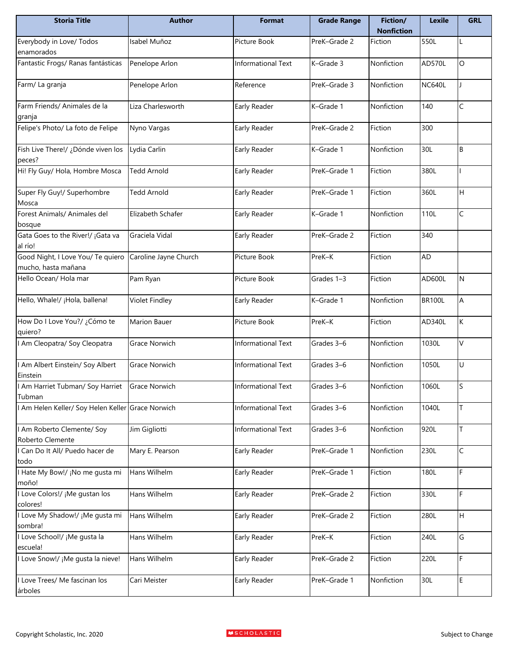| <b>Storia Title</b>                                      | <b>Author</b>         | <b>Format</b>             | <b>Grade Range</b> | Fiction/<br><b>Nonfiction</b> | <b>Lexile</b> | <b>GRL</b> |
|----------------------------------------------------------|-----------------------|---------------------------|--------------------|-------------------------------|---------------|------------|
| Everybody in Love/ Todos<br>enamorados                   | Isabel Muñoz          | Picture Book              | PreK-Grade 2       | Fiction                       | 550L          |            |
| Fantastic Frogs/ Ranas fantásticas                       | Penelope Arlon        | <b>Informational Text</b> | K-Grade 3          | Nonfiction                    | AD570L        | O          |
| Farm/ La granja                                          | Penelope Arlon        | Reference                 | PreK-Grade 3       | Nonfiction                    | <b>NC640L</b> |            |
| Farm Friends/ Animales de la<br>granja                   | Liza Charlesworth     | Early Reader              | K-Grade 1          | Nonfiction                    | 140           | C          |
| Felipe's Photo/ La foto de Felipe                        | Nyno Vargas           | Early Reader              | PreK-Grade 2       | Fiction                       | 300           |            |
| Fish Live There!/ ¿Dónde viven los<br>peces?             | Lydia Carlin          | Early Reader              | K-Grade 1          | Nonfiction                    | 30L           | B          |
| Hi! Fly Guy/ Hola, Hombre Mosca                          | <b>Tedd Arnold</b>    | Early Reader              | PreK-Grade 1       | Fiction                       | 380L          |            |
| Super Fly Guy!/ Superhombre<br>Mosca                     | <b>Tedd Arnold</b>    | Early Reader              | PreK-Grade 1       | Fiction                       | 360L          | H          |
| Forest Animals/ Animales del<br>bosque                   | Elizabeth Schafer     | Early Reader              | K-Grade 1          | Nonfiction                    | 110L          | C          |
| Gata Goes to the River!/ ¡Gata va<br>al río!             | Graciela Vidal        | Early Reader              | PreK-Grade 2       | Fiction                       | 340           |            |
| Good Night, I Love You/ Te quiero<br>mucho, hasta mañana | Caroline Jayne Church | Picture Book              | PreK-K             | Fiction                       | AD            |            |
| Hello Ocean/ Hola mar                                    | Pam Ryan              | Picture Book              | Grades 1-3         | Fiction                       | AD600L        | N          |
| Hello, Whale!/ ¡Hola, ballena!                           | <b>Violet Findley</b> | Early Reader              | K-Grade 1          | Nonfiction                    | <b>BR100L</b> | A          |
| How Do I Love You?/ ¿Cómo te<br>quiero?                  | Marion Bauer          | Picture Book              | PreK-K             | Fiction                       | AD340L        | K          |
| Am Cleopatra/ Soy Cleopatra                              | Grace Norwich         | Informational Text        | Grades 3-6         | Nonfiction                    | 1030L         | V          |
| Am Albert Einstein/ Soy Albert<br>Einstein               | Grace Norwich         | Informational Text        | Grades 3-6         | Nonfiction                    | 1050L         | U          |
| I Am Harriet Tubman/ Soy Harriet Grace Norwich<br>Tubman |                       | Informational Text        | Grades 3-6         | Nonfiction                    | 1060L         | S          |
| Am Helen Keller/ Soy Helen Keller Grace Norwich          |                       | Informational Text        | Grades 3-6         | Nonfiction                    | 1040L         | Τ          |
| Am Roberto Clemente/ Soy<br>Roberto Clemente             | Jim Gigliotti         | Informational Text        | Grades 3-6         | Nonfiction                    | 920L          | T          |
| Can Do It All/ Puedo hacer de<br>todo                    | Mary E. Pearson       | Early Reader              | PreK-Grade 1       | Nonfiction                    | 230L          | C          |
| Hate My Bow!/ ¡No me gusta mi<br>moño!                   | Hans Wilhelm          | Early Reader              | PreK-Grade 1       | Fiction                       | 180L          | F          |
| Love Colors!/ ¡Me gustan los<br>colores!                 | Hans Wilhelm          | Early Reader              | PreK-Grade 2       | Fiction                       | 330L          | F          |
| Love My Shadow!/ ¡Me gusta mi<br>sombra!                 | Hans Wilhelm          | Early Reader              | PreK-Grade 2       | Fiction                       | 280L          | H          |
| Love School!/ ¡Me gusta la<br>escuela!                   | Hans Wilhelm          | Early Reader              | PreK-K             | Fiction                       | 240L          | G          |
| Love Snow!/ ¡Me gusta la nieve!                          | Hans Wilhelm          | Early Reader              | PreK-Grade 2       | Fiction                       | 220L          | F          |
| Love Trees/ Me fascinan los<br>árboles                   | Cari Meister          | Early Reader              | PreK-Grade 1       | Nonfiction                    | 30L           | E          |

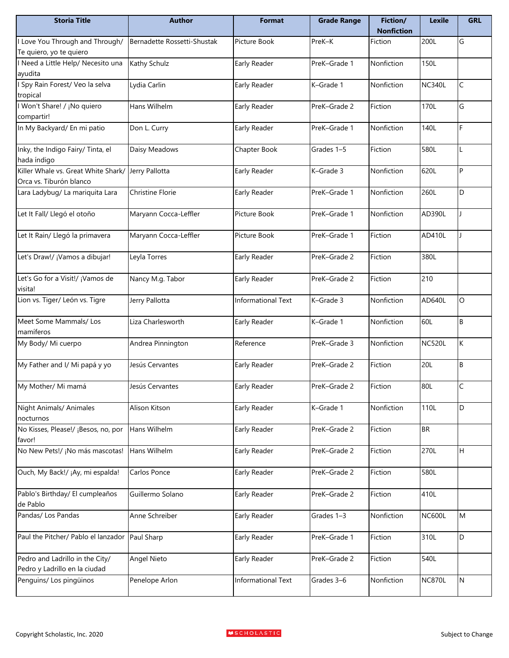| <b>Storia Title</b>                                              | <b>Author</b>               | <b>Format</b>             | <b>Grade Range</b> | Fiction/<br><b>Nonfiction</b> | <b>Lexile</b> | <b>GRL</b>   |
|------------------------------------------------------------------|-----------------------------|---------------------------|--------------------|-------------------------------|---------------|--------------|
| Love You Through and Through/<br>Te quiero, yo te quiero         | Bernadette Rossetti-Shustak | Picture Book              | PreK-K             | Fiction                       | 200L          | G            |
| Need a Little Help/ Necesito una<br>ayudita                      | Kathy Schulz                | Early Reader              | PreK-Grade 1       | Nonfiction                    | 150L          |              |
| Spy Rain Forest/ Veo la selva<br>tropical                        | Lydia Carlin                | Early Reader              | K-Grade 1          | Nonfiction                    | <b>NC340L</b> | $\mathsf C$  |
| Won't Share! / ¡No quiero<br>compartir!                          | Hans Wilhelm                | Early Reader              | PreK-Grade 2       | Fiction                       | 170L          | G            |
| In My Backyard/ En mi patio                                      | Don L. Curry                | Early Reader              | PreK-Grade 1       | Nonfiction                    | 140L          | F            |
| Inky, the Indigo Fairy/ Tinta, el<br>hada índigo                 | Daisy Meadows               | Chapter Book              | Grades 1-5         | Fiction                       | 580L          |              |
| Killer Whale vs. Great White Shark/<br>Orca vs. Tiburón blanco   | Jerry Pallotta              | Early Reader              | K-Grade 3          | Nonfiction                    | 620L          | P            |
| Lara Ladybug/ La mariquita Lara                                  | <b>Christine Florie</b>     | Early Reader              | PreK-Grade 1       | Nonfiction                    | 260L          | D            |
| Let It Fall/ Llegó el otoño                                      | Maryann Cocca-Leffler       | Picture Book              | PreK-Grade 1       | Nonfiction                    | AD390L        |              |
| Let It Rain/ Llegó la primavera                                  | Maryann Cocca-Leffler       | Picture Book              | PreK-Grade 1       | Fiction                       | AD410L        |              |
| Let's Draw!/ ¡Vamos a dibujar!                                   | Leyla Torres                | Early Reader              | PreK-Grade 2       | Fiction                       | 380L          |              |
| Let's Go for a Visit!/ ¡Vamos de<br>visita!                      | Nancy M.g. Tabor            | Early Reader              | PreK-Grade 2       | Fiction                       | 210           |              |
| Lion vs. Tiger/ León vs. Tigre                                   | Jerry Pallotta              | <b>Informational Text</b> | K-Grade 3          | Nonfiction                    | AD640L        | $\circ$      |
| Meet Some Mammals/Los<br>mamíferos                               | Liza Charlesworth           | Early Reader              | K-Grade 1          | Nonfiction                    | 60L           | В            |
| My Body/ Mi cuerpo                                               | Andrea Pinnington           | Reference                 | PreK-Grade 3       | Nonfiction                    | <b>NC520L</b> | К            |
| My Father and I/Mi papá y yo                                     | Jesús Cervantes             | Early Reader              | PreK-Grade 2       | Fiction                       | 20L           | B            |
| My Mother/ Mi mamá                                               | Jesús Cervantes             | Early Reader              | PreK-Grade 2       | Fiction                       | 80L           | $\mathsf{C}$ |
| Night Animals/ Animales<br>nocturnos                             | Alison Kitson               | Early Reader              | K-Grade 1          | Nonfiction                    | 110L          | D            |
| No Kisses, Please!/ ¡Besos, no, por<br>favor!                    | Hans Wilhelm                | Early Reader              | PreK-Grade 2       | Fiction                       | <b>BR</b>     |              |
| No New Pets!/ ¡No más mascotas!                                  | Hans Wilhelm                | Early Reader              | PreK-Grade 2       | Fiction                       | 270L          | H            |
| Ouch, My Back!/ ¡Ay, mi espalda!                                 | Carlos Ponce                | Early Reader              | PreK-Grade 2       | Fiction                       | 580L          |              |
| Pablo's Birthday/ El cumpleaños<br>de Pablo                      | Guillermo Solano            | Early Reader              | PreK-Grade 2       | Fiction                       | 410L          |              |
| Pandas/ Los Pandas                                               | Anne Schreiber              | Early Reader              | Grades 1-3         | Nonfiction                    | <b>NC600L</b> | M            |
| Paul the Pitcher/ Pablo el lanzador                              | Paul Sharp                  | Early Reader              | PreK-Grade 1       | Fiction                       | 310L          | D            |
| Pedro and Ladrillo in the City/<br>Pedro y Ladrillo en la ciudad | <b>Angel Nieto</b>          | Early Reader              | PreK-Grade 2       | Fiction                       | 540L          |              |
| Penguins/ Los pingüinos                                          | Penelope Arlon              | Informational Text        | Grades 3-6         | Nonfiction                    | <b>NC870L</b> | N            |

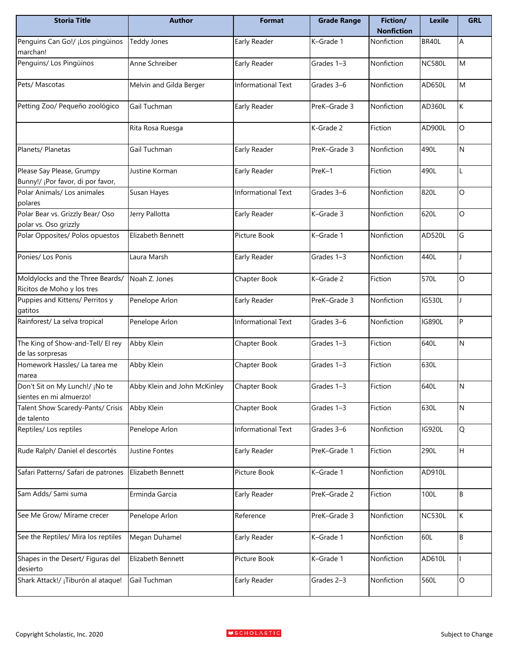| <b>Storia Title</b>                                            | <b>Author</b>                | <b>Format</b>             | <b>Grade Range</b> | Fiction/<br><b>Nonfiction</b> | <b>Lexile</b> | <b>GRL</b> |
|----------------------------------------------------------------|------------------------------|---------------------------|--------------------|-------------------------------|---------------|------------|
| Penguins Can Go!/ ¡Los pingüinos<br>marchan!                   | <b>Teddy Jones</b>           | Early Reader              | K-Grade 1          | Nonfiction                    | BR40L         | А          |
| Penguins/ Los Pingüinos                                        | Anne Schreiber               | Early Reader              | Grades 1-3         | Nonfiction                    | <b>NC580L</b> | M          |
| Pets/ Mascotas                                                 | Melvin and Gilda Berger      | Informational Text        | Grades 3-6         | Nonfiction                    | AD650L        | M          |
| Petting Zoo/ Pequeño zoológico                                 | Gail Tuchman                 | Early Reader              | PreK-Grade 3       | Nonfiction                    | AD360L        | K          |
|                                                                | Rita Rosa Ruesga             |                           | K-Grade 2          | Fiction                       | AD900L        | O          |
| Planets/ Planetas                                              | Gail Tuchman                 | Early Reader              | PreK-Grade 3       | Nonfiction                    | 490L          | N          |
| Please Say Please, Grumpy<br>Bunny!/ ¡Por favor, di por favor, | Justine Korman               | Early Reader              | PreK-1             | Fiction                       | 490L          |            |
| Polar Animals/ Los animales<br>polares                         | Susan Hayes                  | Informational Text        | Grades 3-6         | Nonfiction                    | 820L          | O          |
| Polar Bear vs. Grizzly Bear/ Oso<br>polar vs. Oso grizzly      | Jerry Pallotta               | Early Reader              | K-Grade 3          | Nonfiction                    | 620L          | O          |
| Polar Opposites/ Polos opuestos                                | Elizabeth Bennett            | Picture Book              | K-Grade 1          | Nonfiction                    | AD520L        | G          |
| Ponies/ Los Ponis                                              | Laura Marsh                  | Early Reader              | Grades 1-3         | Nonfiction                    | 440L          |            |
| Moldylocks and the Three Beards/<br>Ricitos de Moho y los tres | Noah Z. Jones                | Chapter Book              | K-Grade 2          | Fiction                       | 570L          | O          |
| Puppies and Kittens/ Perritos y<br>gatitos                     | Penelope Arlon               | Early Reader              | PreK-Grade 3       | Nonfiction                    | <b>IG530L</b> |            |
| Rainforest/ La selva tropical                                  | Penelope Arlon               | <b>Informational Text</b> | Grades 3-6         | Nonfiction                    | <b>IG890L</b> | P          |
| The King of Show-and-Tell/ El rey<br>de las sorpresas          | Abby Klein                   | Chapter Book              | Grades 1-3         | Fiction                       | 640L          | N          |
| Homework Hassles/ La tarea me<br>marea                         | Abby Klein                   | Chapter Book              | Grades 1-3         | Fiction                       | 630L          |            |
| Don't Sit on My Lunch!/ ¡No te<br>sientes en mi almuerzo!      | Abby Klein and John McKinley | Chapter Book              | Grades 1-3         | Fiction                       | 640L          | <b>N</b>   |
| Talent Show Scaredy-Pants/ Crisis<br>de talento                | Abby Klein                   | Chapter Book              | Grades 1-3         | Fiction                       | 630L          | Ν          |
| Reptiles/ Los reptiles                                         | Penelope Arlon               | Informational Text        | Grades 3-6         | Nonfiction                    | <b>IG920L</b> | Q          |
| Rude Ralph/ Daniel el descortés                                | Justine Fontes               | Early Reader              | PreK-Grade 1       | Fiction                       | 290L          | Н          |
| Safari Patterns/ Safari de patrones                            | Elizabeth Bennett            | Picture Book              | K-Grade 1          | Nonfiction                    | AD910L        |            |
| Sam Adds/ Sami suma                                            | Erminda Garcia               | Early Reader              | PreK-Grade 2       | Fiction                       | 100L          | $\sf{B}$   |
| See Me Grow/ Mírame crecer                                     | Penelope Arlon               | Reference                 | PreK-Grade 3       | Nonfiction                    | <b>NC530L</b> | K          |
| See the Reptiles/ Mira los reptiles                            | Megan Duhamel                | Early Reader              | K-Grade 1          | Nonfiction                    | 60L           | B          |
| Shapes in the Desert/ Figuras del<br>desierto                  | Elizabeth Bennett            | Picture Book              | K-Grade 1          | Nonfiction                    | AD610L        |            |
| Shark Attack!/ ¡Tiburón al ataque!                             | Gail Tuchman                 | Early Reader              | Grades 2-3         | Nonfiction                    | 560L          | O          |

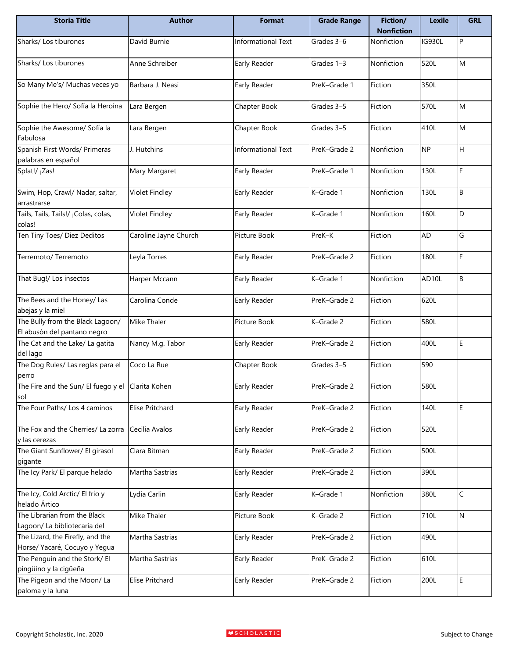| <b>Storia Title</b>                                               | <b>Author</b>          | <b>Format</b>      | <b>Grade Range</b> | Fiction/<br><b>Nonfiction</b> | <b>Lexile</b> | <b>GRL</b> |
|-------------------------------------------------------------------|------------------------|--------------------|--------------------|-------------------------------|---------------|------------|
| Sharks/ Los tiburones                                             | David Burnie           | Informational Text | Grades 3-6         | Nonfiction                    | IG930L        | P          |
| Sharks/ Los tiburones                                             | Anne Schreiber         | Early Reader       | Grades 1-3         | Nonfiction                    | 520L          | M          |
| So Many Me's/ Muchas veces yo                                     | Barbara J. Neasi       | Early Reader       | PreK-Grade 1       | Fiction                       | 350L          |            |
| Sophie the Hero/ Sofía la Heroína                                 | Lara Bergen            | Chapter Book       | Grades 3-5         | Fiction                       | 570L          | M          |
| Sophie the Awesome/ Sofía la<br>Fabulosa                          | Lara Bergen            | Chapter Book       | Grades 3-5         | Fiction                       | 410L          | M          |
| Spanish First Words/ Primeras<br>palabras en español              | J. Hutchins            | Informational Text | PreK-Grade 2       | Nonfiction                    | <b>NP</b>     | H          |
| Splat!/ ¡Zas!                                                     | Mary Margaret          | Early Reader       | PreK-Grade 1       | Nonfiction                    | 130L          | F          |
| Swim, Hop, Crawl/ Nadar, saltar,<br>arrastrarse                   | <b>Violet Findley</b>  | Early Reader       | K-Grade 1          | Nonfiction                    | 130L          | В          |
| Tails, Tails, Tails!/ ¡Colas, colas,<br>colas!                    | Violet Findley         | Early Reader       | K-Grade 1          | Nonfiction                    | 160L          | D          |
| Ten Tiny Toes/ Diez Deditos                                       | Caroline Jayne Church  | Picture Book       | PreK-K             | Fiction                       | AD            | G          |
| Terremoto/ Terremoto                                              | Leyla Torres           | Early Reader       | PreK-Grade 2       | Fiction                       | 180L          | F          |
| That Bug!/ Los insectos                                           | Harper Mccann          | Early Reader       | K-Grade 1          | Nonfiction                    | AD10L         | B          |
| The Bees and the Honey/ Las<br>abejas y la miel                   | Carolina Conde         | Early Reader       | PreK-Grade 2       | Fiction                       | 620L          |            |
| The Bully from the Black Lagoon/<br>El abusón del pantano negro   | Mike Thaler            | Picture Book       | K-Grade 2          | Fiction                       | 580L          |            |
| The Cat and the Lake/ La gatita<br>del lago                       | Nancy M.g. Tabor       | Early Reader       | PreK-Grade 2       | Fiction                       | 400L          | E          |
| The Dog Rules/ Las reglas para el<br>perro                        | Coco La Rue            | Chapter Book       | Grades 3-5         | Fiction                       | 590           |            |
| The Fire and the Sun/ El fuego y el Clarita Kohen<br>sol          |                        | Early Reader       | PreK-Grade 2       | Fiction                       | 580L          |            |
| The Four Paths/ Los 4 caminos                                     | <b>Elise Pritchard</b> | Early Reader       | PreK-Grade 2       | Fiction                       | 140L          | E          |
| The Fox and the Cherries/ La zorra<br>y las cerezas               | Cecilia Avalos         | Early Reader       | PreK-Grade 2       | Fiction                       | 520L          |            |
| The Giant Sunflower/ El girasol<br>gigante                        | Clara Bitman           | Early Reader       | PreK-Grade 2       | Fiction                       | 500L          |            |
| The Icy Park/ El parque helado                                    | Martha Sastrias        | Early Reader       | PreK-Grade 2       | Fiction                       | 390L          |            |
| The Icy, Cold Arctic/ El frío y<br>helado Ártico                  | Lydia Carlin           | Early Reader       | K-Grade 1          | Nonfiction                    | 380L          | C          |
| The Librarian from the Black<br>Lagoon/ La bibliotecaria del      | Mike Thaler            | Picture Book       | K-Grade 2          | Fiction                       | 710L          | N          |
| The Lizard, the Firefly, and the<br>Horse/ Yacaré, Cocuyo y Yegua | Martha Sastrias        | Early Reader       | PreK-Grade 2       | Fiction                       | 490L          |            |
| The Penguin and the Stork/ El<br>pingüino y la cigüeña            | Martha Sastrias        | Early Reader       | PreK-Grade 2       | Fiction                       | 610L          |            |
| The Pigeon and the Moon/ La<br>paloma y la luna                   | <b>Elise Pritchard</b> | Early Reader       | PreK-Grade 2       | Fiction                       | 200L          | E          |